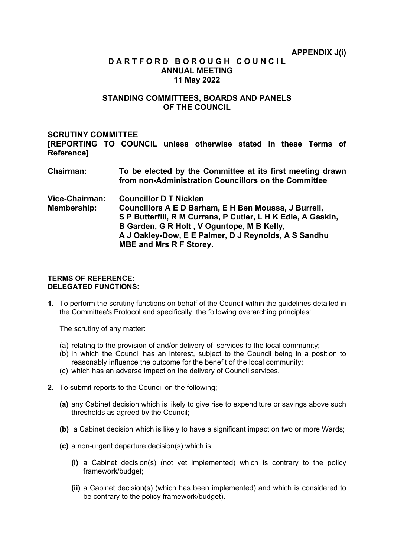# **D A R T F O R D B O R O U G H C O U N C I L ANNUAL MEETING 11 May 2022**

# **STANDING COMMITTEES, BOARDS AND PANELS OF THE COUNCIL**

# **SCRUTINY COMMITTEE**

**[REPORTING TO COUNCIL unless otherwise stated in these Terms of Reference]**

- **Chairman: To be elected by the Committee at its first meeting drawn from non-Administration Councillors on the Committee**
- **Vice-Chairman: Councillor D T Nicklen Membership: Councillors A E D Barham, E H Ben Moussa, J Burrell, S P Butterfill, R M Currans, P Cutler, L H K Edie, A Gaskin, B Garden, G R Holt , V Oguntope, M B Kelly, A J Oakley-Dow, E E Palmer, D J Reynolds, A S Sandhu MBE and Mrs R F Storey.**

#### **TERMS OF REFERENCE: DELEGATED FUNCTIONS:**

**1.** To perform the scrutiny functions on behalf of the Council within the guidelines detailed in the Committee's Protocol and specifically, the following overarching principles:

The scrutiny of any matter:

- (a) relating to the provision of and/or delivery of services to the local community;
- (b) in which the Council has an interest, subject to the Council being in a position to reasonably influence the outcome for the benefit of the local community;
- (c) which has an adverse impact on the delivery of Council services.
- **2.** To submit reports to the Council on the following;
	- **(a)** any Cabinet decision which is likely to give rise to expenditure or savings above such thresholds as agreed by the Council;
	- **(b)** a Cabinet decision which is likely to have a significant impact on two or more Wards;
	- **(c)** a non-urgent departure decision(s) which is;
		- **(i)** a Cabinet decision(s) (not yet implemented) which is contrary to the policy framework/budget;
		- **(ii)** a Cabinet decision(s) (which has been implemented) and which is considered to be contrary to the policy framework/budget).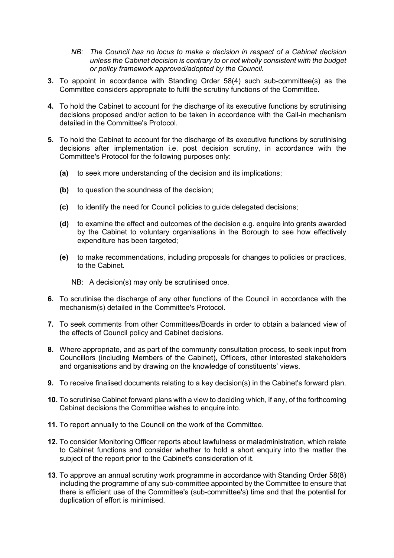- *NB: The Council has no locus to make a decision in respect of a Cabinet decision unless the Cabinet decision is contrary to or not wholly consistent with the budget or policy framework approved/adopted by the Council.*
- **3.** To appoint in accordance with Standing Order 58(4) such sub-committee(s) as the Committee considers appropriate to fulfil the scrutiny functions of the Committee.
- **4.** To hold the Cabinet to account for the discharge of its executive functions by scrutinising decisions proposed and/or action to be taken in accordance with the Call-in mechanism detailed in the Committee's Protocol.
- **5.** To hold the Cabinet to account for the discharge of its executive functions by scrutinising decisions after implementation i.e. post decision scrutiny, in accordance with the Committee's Protocol for the following purposes only:
	- **(a)** to seek more understanding of the decision and its implications;
	- **(b)** to question the soundness of the decision;
	- **(c)** to identify the need for Council policies to guide delegated decisions;
	- **(d)** to examine the effect and outcomes of the decision e.g. enquire into grants awarded by the Cabinet to voluntary organisations in the Borough to see how effectively expenditure has been targeted;
	- **(e)** to make recommendations, including proposals for changes to policies or practices, to the Cabinet.
		- NB: A decision(s) may only be scrutinised once.
- **6.** To scrutinise the discharge of any other functions of the Council in accordance with the mechanism(s) detailed in the Committee's Protocol.
- **7.** To seek comments from other Committees/Boards in order to obtain a balanced view of the effects of Council policy and Cabinet decisions.
- **8.** Where appropriate, and as part of the community consultation process, to seek input from Councillors (including Members of the Cabinet), Officers, other interested stakeholders and organisations and by drawing on the knowledge of constituents' views.
- **9.** To receive finalised documents relating to a key decision(s) in the Cabinet's forward plan.
- **10.** To scrutinise Cabinet forward plans with a view to deciding which, if any, of the forthcoming Cabinet decisions the Committee wishes to enquire into.
- **11.** To report annually to the Council on the work of the Committee.
- **12.** To consider Monitoring Officer reports about lawfulness or maladministration, which relate to Cabinet functions and consider whether to hold a short enquiry into the matter the subject of the report prior to the Cabinet's consideration of it.
- **13**. To approve an annual scrutiny work programme in accordance with Standing Order 58(8) including the programme of any sub-committee appointed by the Committee to ensure that there is efficient use of the Committee's (sub-committee's) time and that the potential for duplication of effort is minimised.